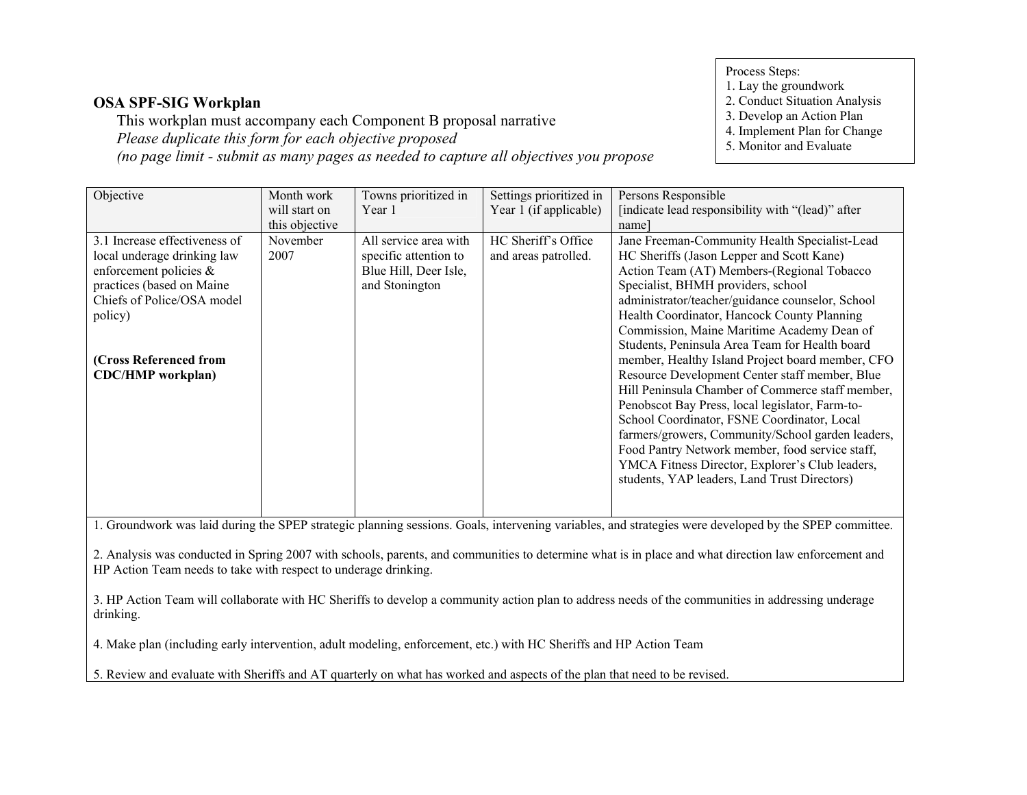Process Steps:

#### 1. Lay the groundwork

- 2. Conduct Situation Analysis
- 3. Develop an Action Plan
- 4. Implement Plan for Change
- 5. Monitor and Evaluate

 This workplan must accompany each Component B proposal narrativePlease duplicate this form for each objective proposed(no page limit - submit as many pages as needed to capture all objectives you propose

| Objective                     | Month work     | Towns prioritized in  | Settings prioritized in | Persons Responsible                               |
|-------------------------------|----------------|-----------------------|-------------------------|---------------------------------------------------|
|                               | will start on  | Year 1                | Year 1 (if applicable)  | [indicate lead responsibility with "(lead)" after |
|                               | this objective |                       |                         | name                                              |
| 3.1 Increase effectiveness of | November       | All service area with | HC Sheriff's Office     | Jane Freeman-Community Health Specialist-Lead     |
| local underage drinking law   | 2007           | specific attention to | and areas patrolled.    | HC Sheriffs (Jason Lepper and Scott Kane)         |
| enforcement policies &        |                | Blue Hill, Deer Isle, |                         | Action Team (AT) Members-(Regional Tobacco        |
| practices (based on Maine     |                | and Stonington        |                         | Specialist, BHMH providers, school                |
| Chiefs of Police/OSA model    |                |                       |                         | administrator/teacher/guidance counselor, School  |
| policy)                       |                |                       |                         | Health Coordinator, Hancock County Planning       |
|                               |                |                       |                         | Commission, Maine Maritime Academy Dean of        |
|                               |                |                       |                         | Students, Peninsula Area Team for Health board    |
| (Cross Referenced from        |                |                       |                         | member, Healthy Island Project board member, CFO  |
| <b>CDC/HMP</b> workplan)      |                |                       |                         | Resource Development Center staff member, Blue    |
|                               |                |                       |                         | Hill Peninsula Chamber of Commerce staff member,  |
|                               |                |                       |                         | Penobscot Bay Press, local legislator, Farm-to-   |
|                               |                |                       |                         | School Coordinator, FSNE Coordinator, Local       |
|                               |                |                       |                         | farmers/growers, Community/School garden leaders, |
|                               |                |                       |                         | Food Pantry Network member, food service staff,   |
|                               |                |                       |                         | YMCA Fitness Director, Explorer's Club leaders,   |
|                               |                |                       |                         | students, YAP leaders, Land Trust Directors)      |
|                               |                |                       |                         |                                                   |
|                               |                |                       |                         |                                                   |

1. Groundwork was laid during the SPEP strategic planning sessions. Goals, intervening variables, and strategies were developed by the SPEP committee.

2. Analysis was conducted in Spring 2007 with schools, parents, and communities to determine what is in place and what direction law enforcement and HP Action Team needs to take with respect to underage drinking.

3. HP Action Team will collaborate with HC Sheriffs to develop a community action plan to address needs of the communities in addressing underage drinking.

4. Make plan (including early intervention, adult modeling, enforcement, etc.) with HC Sheriffs and HP Action Team

5. Review and evaluate with Sheriffs and AT quarterly on what has worked and aspects of the plan that need to be revised.

# OSA SPF-SIG Workplan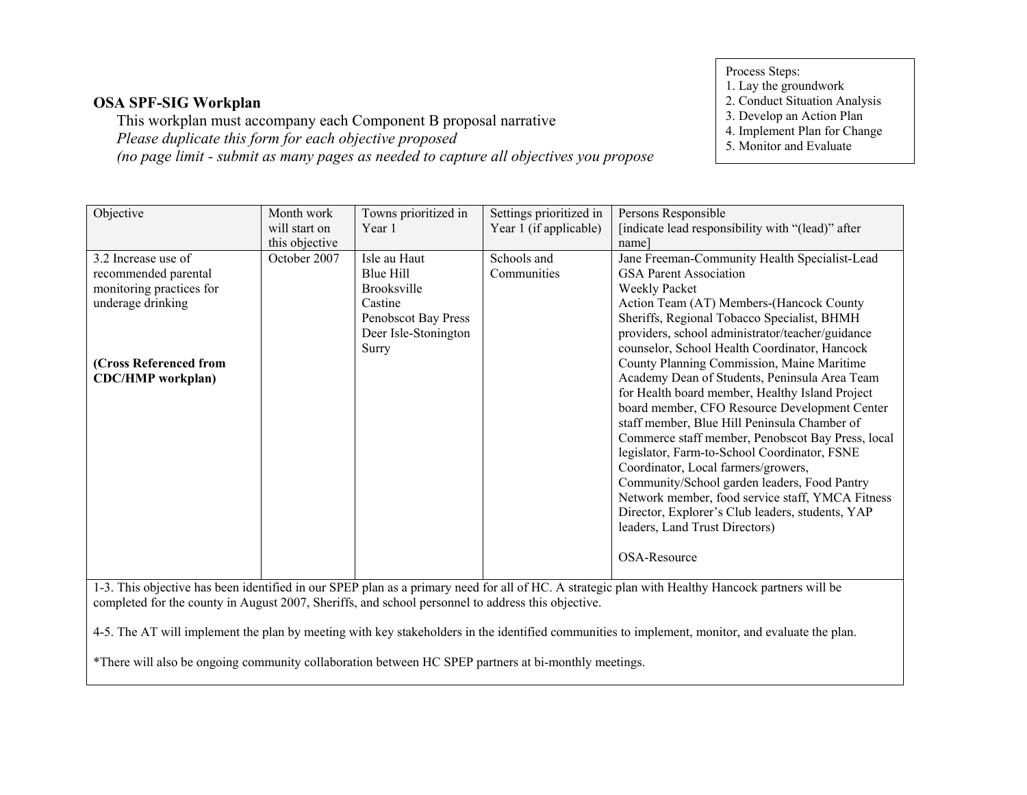This workplan must accompany each Component B proposal narrativePlease duplicate this form for each objective proposed(no page limit - submit as many pages as needed to capture all objectives you propose Process Steps:

- 
- 1. Lay the groundwork 2. Conduct Situation Analysis
- 3. Develop an Action Plan
- 4. Implement Plan for Change
- 5. Monitor and Evaluate

| Objective                                                                                                                                        | Month work     | Towns prioritized in | Settings prioritized in | Persons Responsible                               |  |
|--------------------------------------------------------------------------------------------------------------------------------------------------|----------------|----------------------|-------------------------|---------------------------------------------------|--|
|                                                                                                                                                  | will start on  | Year 1               | Year 1 (if applicable)  | [indicate lead responsibility with "(lead)" after |  |
|                                                                                                                                                  | this objective |                      |                         | name]                                             |  |
| 3.2 Increase use of                                                                                                                              | October 2007   | Isle au Haut         | Schools and             | Jane Freeman-Community Health Specialist-Lead     |  |
| recommended parental                                                                                                                             |                | Blue Hill            | Communities             | <b>GSA Parent Association</b>                     |  |
| monitoring practices for                                                                                                                         |                | Brooksville          |                         | Weekly Packet                                     |  |
| underage drinking                                                                                                                                |                | Castine              |                         | Action Team (AT) Members-(Hancock County          |  |
|                                                                                                                                                  |                | Penobscot Bay Press  |                         | Sheriffs, Regional Tobacco Specialist, BHMH       |  |
|                                                                                                                                                  |                | Deer Isle-Stonington |                         | providers, school administrator/teacher/guidance  |  |
|                                                                                                                                                  |                | Surry                |                         | counselor, School Health Coordinator, Hancock     |  |
| (Cross Referenced from                                                                                                                           |                |                      |                         | County Planning Commission, Maine Maritime        |  |
| <b>CDC/HMP</b> workplan)                                                                                                                         |                |                      |                         | Academy Dean of Students, Peninsula Area Team     |  |
|                                                                                                                                                  |                |                      |                         | for Health board member, Healthy Island Project   |  |
|                                                                                                                                                  |                |                      |                         | board member, CFO Resource Development Center     |  |
|                                                                                                                                                  |                |                      |                         | staff member, Blue Hill Peninsula Chamber of      |  |
|                                                                                                                                                  |                |                      |                         | Commerce staff member, Penobscot Bay Press, local |  |
|                                                                                                                                                  |                |                      |                         |                                                   |  |
|                                                                                                                                                  |                |                      |                         | legislator, Farm-to-School Coordinator, FSNE      |  |
|                                                                                                                                                  |                |                      |                         | Coordinator, Local farmers/growers,               |  |
|                                                                                                                                                  |                |                      |                         | Community/School garden leaders, Food Pantry      |  |
|                                                                                                                                                  |                |                      |                         | Network member, food service staff, YMCA Fitness  |  |
|                                                                                                                                                  |                |                      |                         | Director, Explorer's Club leaders, students, YAP  |  |
|                                                                                                                                                  |                |                      |                         | leaders, Land Trust Directors)                    |  |
|                                                                                                                                                  |                |                      |                         | OSA-Resource                                      |  |
|                                                                                                                                                  |                |                      |                         |                                                   |  |
| 1-3. This objective has been identified in our SPEP plan as a primary need for all of HC. A strategic plan with Healthy Hancock partners will be |                |                      |                         |                                                   |  |
| completed for the county in August 2007, Sheriffs, and school personnel to address this objective.                                               |                |                      |                         |                                                   |  |
|                                                                                                                                                  |                |                      |                         |                                                   |  |
| 4-5. The AT will implement the plan by meeting with key stakeholders in the identified communities to implement, monitor, and evaluate the plan. |                |                      |                         |                                                   |  |
| *There will also be ongoing community collaboration between HC SPEP partners at bi-monthly meetings.                                             |                |                      |                         |                                                   |  |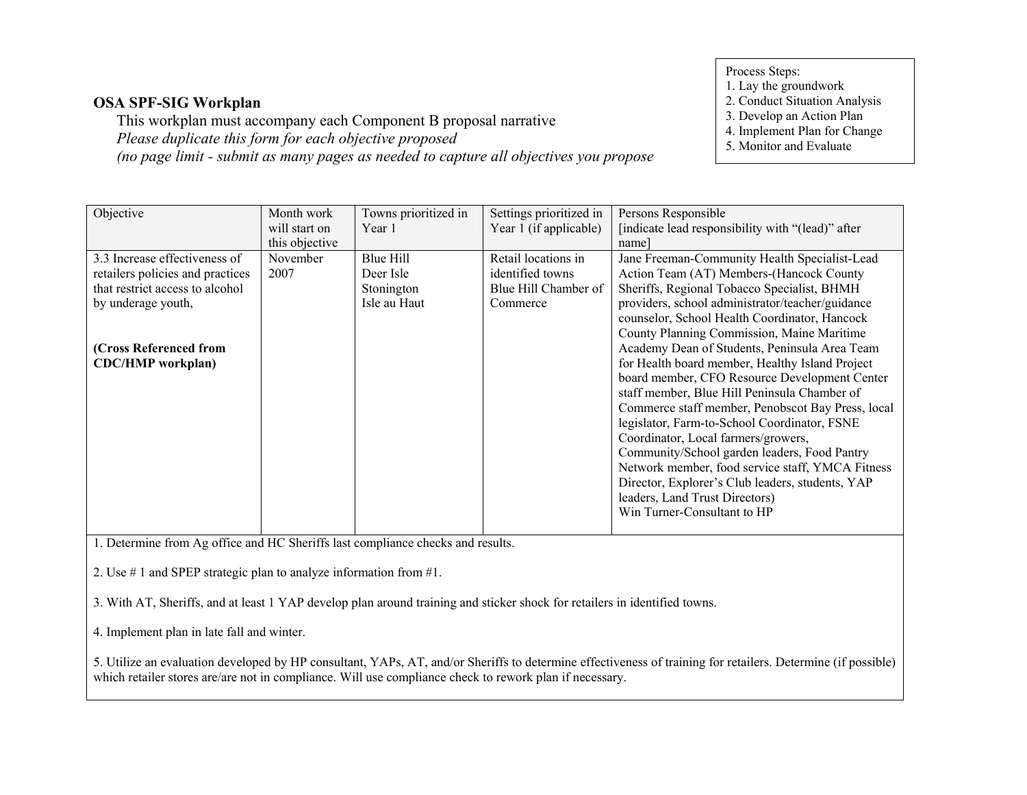This workplan must accompany each Component B proposal narrativePlease duplicate this form for each objective proposed(no page limit - submit as many pages as needed to capture all objectives you propose Process Steps:

1. Lay the groundwork

2. Conduct Situation Analysis

- 3. Develop an Action Plan
- 4. Implement Plan for Change
- 5. Monitor and Evaluate

| Objective                        | Month work     | Towns prioritized in | Settings prioritized in | Persons Responsible                               |
|----------------------------------|----------------|----------------------|-------------------------|---------------------------------------------------|
|                                  | will start on  | Year 1               | Year 1 (if applicable)  | [indicate lead responsibility with "(lead)" after |
|                                  | this objective |                      |                         | namel                                             |
| 3.3 Increase effectiveness of    | November       | Blue Hill            | Retail locations in     | Jane Freeman-Community Health Specialist-Lead     |
| retailers policies and practices | 2007           | Deer Isle            | identified towns        | Action Team (AT) Members-(Hancock County          |
| that restrict access to alcohol  |                | Stonington           | Blue Hill Chamber of    | Sheriffs, Regional Tobacco Specialist, BHMH       |
| by underage youth,               |                | Isle au Haut         | Commerce                | providers, school administrator/teacher/guidance  |
|                                  |                |                      |                         | counselor, School Health Coordinator, Hancock     |
|                                  |                |                      |                         | County Planning Commission, Maine Maritime        |
| (Cross Referenced from           |                |                      |                         | Academy Dean of Students, Peninsula Area Team     |
| <b>CDC/HMP</b> workplan)         |                |                      |                         | for Health board member, Healthy Island Project   |
|                                  |                |                      |                         | board member, CFO Resource Development Center     |
|                                  |                |                      |                         | staff member, Blue Hill Peninsula Chamber of      |
|                                  |                |                      |                         | Commerce staff member, Penobscot Bay Press, local |
|                                  |                |                      |                         | legislator, Farm-to-School Coordinator, FSNE      |
|                                  |                |                      |                         | Coordinator, Local farmers/growers,               |
|                                  |                |                      |                         | Community/School garden leaders, Food Pantry      |
|                                  |                |                      |                         | Network member, food service staff, YMCA Fitness  |
|                                  |                |                      |                         | Director, Explorer's Club leaders, students, YAP  |
|                                  |                |                      |                         | leaders, Land Trust Directors)                    |
|                                  |                |                      |                         | Win Turner-Consultant to HP                       |
|                                  |                |                      |                         |                                                   |

1. Determine from Ag office and HC Sheriffs last compliance checks and results.

2. Use # 1 and SPEP strategic plan to analyze information from #1.

3. With AT, Sheriffs, and at least 1 YAP develop plan around training and sticker shock for retailers in identified towns.

4. Implement plan in late fall and winter.

5. Utilize an evaluation developed by HP consultant, YAPs, AT, and/or Sheriffs to determine effectiveness of training for retailers. Determine (if possible) which retailer stores are/are not in compliance. Will use compliance check to rework plan if necessary.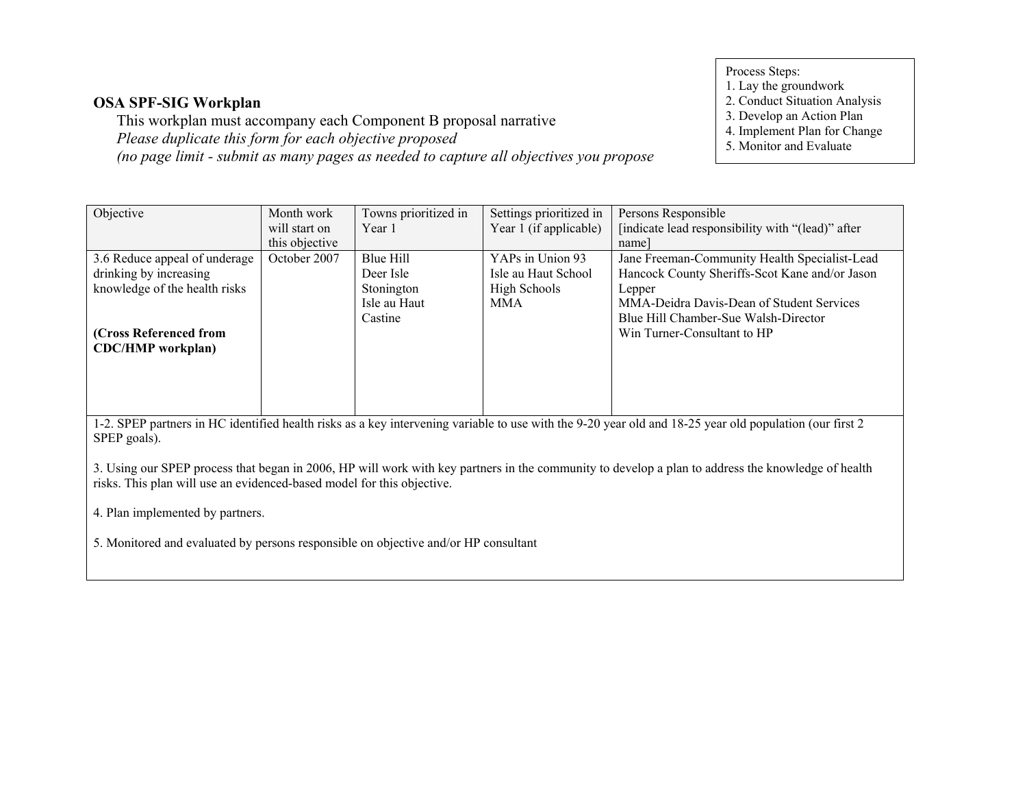This workplan must accompany each Component B proposal narrativePlease duplicate this form for each objective proposed(no page limit - submit as many pages as needed to capture all objectives you propose

- Process Steps:
- 1. Lay the groundwork
- 2. Conduct Situation Analysis
- 3. Develop an Action Plan
- 4. Implement Plan for Change
- 5. Monitor and Evaluate

| Objective                                                                                                                                               | Month work     | Towns prioritized in | Settings prioritized in | Persons Responsible                               |
|---------------------------------------------------------------------------------------------------------------------------------------------------------|----------------|----------------------|-------------------------|---------------------------------------------------|
|                                                                                                                                                         | will start on  | Year 1               | Year 1 (if applicable)  | [indicate lead responsibility with "(lead)" after |
|                                                                                                                                                         | this objective |                      |                         | name                                              |
| 3.6 Reduce appeal of underage                                                                                                                           | October 2007   | Blue Hill            | YAPs in Union 93        | Jane Freeman-Community Health Specialist-Lead     |
| drinking by increasing                                                                                                                                  |                | Deer Isle            | Isle au Haut School     | Hancock County Sheriffs-Scot Kane and/or Jason    |
| knowledge of the health risks                                                                                                                           |                | Stonington           | High Schools            | Lepper                                            |
|                                                                                                                                                         |                | Isle au Haut         | MMA                     | MMA-Deidra Davis-Dean of Student Services         |
|                                                                                                                                                         |                | Castine              |                         | Blue Hill Chamber-Sue Walsh-Director              |
| (Cross Referenced from                                                                                                                                  |                |                      |                         | Win Turner-Consultant to HP                       |
| <b>CDC/HMP</b> workplan)                                                                                                                                |                |                      |                         |                                                   |
|                                                                                                                                                         |                |                      |                         |                                                   |
|                                                                                                                                                         |                |                      |                         |                                                   |
|                                                                                                                                                         |                |                      |                         |                                                   |
|                                                                                                                                                         |                |                      |                         |                                                   |
| 1-2. SPEP partners in HC identified health risks as a key intervening variable to use with the 9-20 year old and 18-25 year old population (our first 2 |                |                      |                         |                                                   |
| SPEP goals).                                                                                                                                            |                |                      |                         |                                                   |

3. Using our SPEP process that began in 2006, HP will work with key partners in the community to develop a plan to address the knowledge of health risks. This plan will use an evidenced-based model for this objective.

4. Plan implemented by partners.

5. Monitored and evaluated by persons responsible on objective and/or HP consultant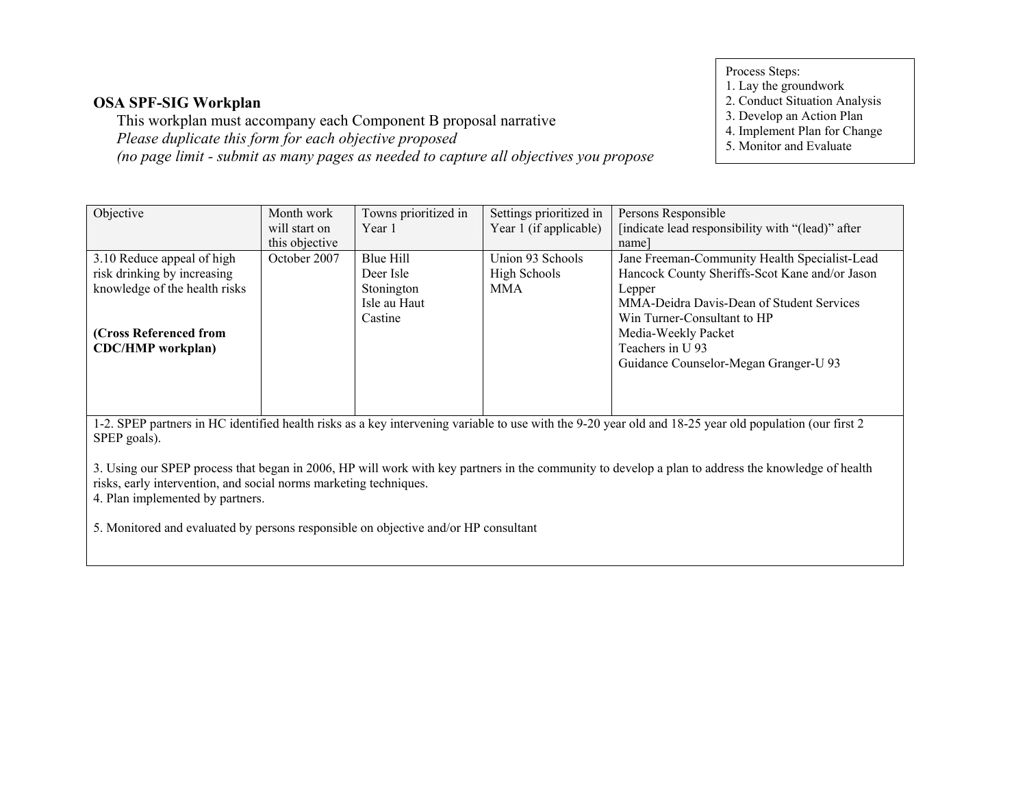This workplan must accompany each Component B proposal narrativePlease duplicate this form for each objective proposed(no page limit - submit as many pages as needed to capture all objectives you propose

- Process Steps:
- 1. Lay the groundwork
- 2. Conduct Situation Analysis
- 3. Develop an Action Plan
- 4. Implement Plan for Change
- 5. Monitor and Evaluate

| Objective                                                                                                                                               | Month work     | Towns prioritized in | Settings prioritized in | Persons Responsible                               |
|---------------------------------------------------------------------------------------------------------------------------------------------------------|----------------|----------------------|-------------------------|---------------------------------------------------|
|                                                                                                                                                         | will start on  | Year 1               | Year 1 (if applicable)  | [indicate lead responsibility with "(lead)" after |
|                                                                                                                                                         | this objective |                      |                         | name                                              |
| 3.10 Reduce appeal of high                                                                                                                              | October 2007   | Blue Hill            | Union 93 Schools        | Jane Freeman-Community Health Specialist-Lead     |
| risk drinking by increasing                                                                                                                             |                | Deer Isle            | High Schools            | Hancock County Sheriffs-Scot Kane and/or Jason    |
| knowledge of the health risks                                                                                                                           |                | Stonington           | <b>MMA</b>              | Lepper                                            |
|                                                                                                                                                         |                | Isle au Haut         |                         | MMA-Deidra Davis-Dean of Student Services         |
|                                                                                                                                                         |                | Castine              |                         | Win Turner-Consultant to HP                       |
| (Cross Referenced from                                                                                                                                  |                |                      |                         | Media-Weekly Packet                               |
| <b>CDC/HMP</b> workplan)                                                                                                                                |                |                      |                         | Teachers in U <sub>93</sub>                       |
|                                                                                                                                                         |                |                      |                         | Guidance Counselor-Megan Granger-U 93             |
|                                                                                                                                                         |                |                      |                         |                                                   |
|                                                                                                                                                         |                |                      |                         |                                                   |
|                                                                                                                                                         |                |                      |                         |                                                   |
| 1-2. SPEP partners in HC identified health risks as a key intervening variable to use with the 9-20 year old and 18-25 year old population (our first 2 |                |                      |                         |                                                   |
| SPEP goals).                                                                                                                                            |                |                      |                         |                                                   |

3. Using our SPEP process that began in 2006, HP will work with key partners in the community to develop a plan to address the knowledge of health risks, early intervention, and social norms marketing techniques.

4. Plan implemented by partners.

5. Monitored and evaluated by persons responsible on objective and/or HP consultant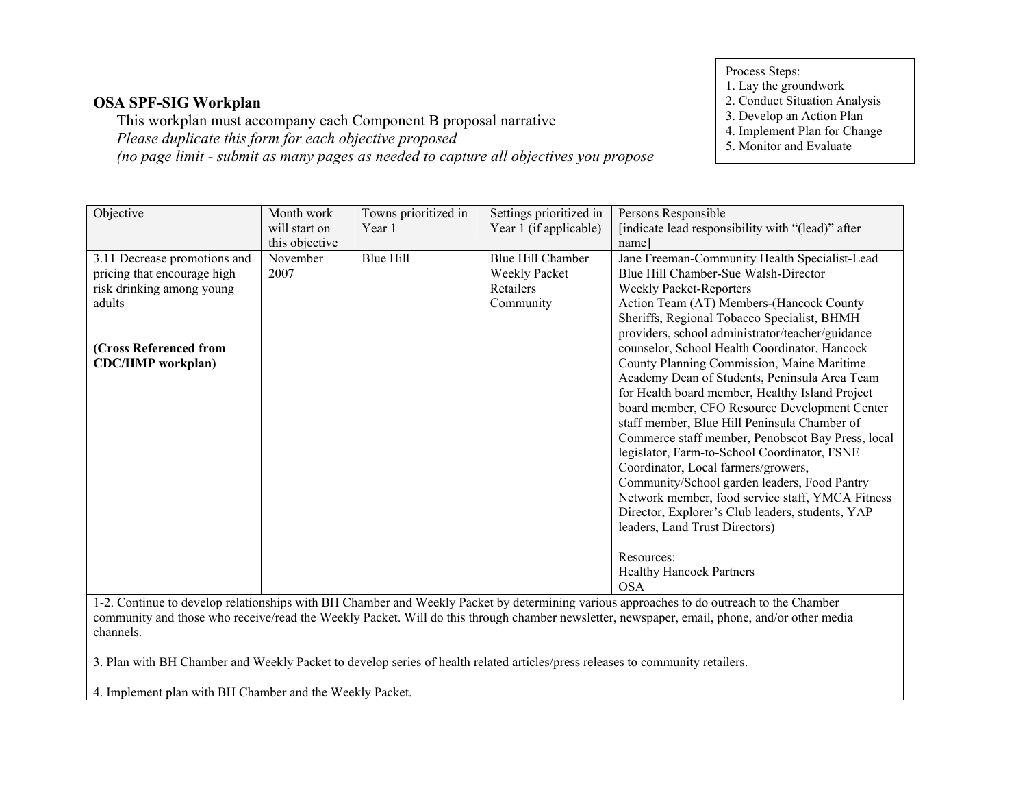This workplan must accompany each Component B proposal narrativePlease duplicate this form for each objective proposed(no page limit - submit as many pages as needed to capture all objectives you propose Process Steps:

1. Lay the groundwork

2. Conduct Situation Analysis

- 3. Develop an Action Plan
- 4. Implement Plan for Change
- 5. Monitor and Evaluate

| Objective                    | Month work     | Towns prioritized in | Settings prioritized in | Persons Responsible                               |
|------------------------------|----------------|----------------------|-------------------------|---------------------------------------------------|
|                              | will start on  | Year 1               | Year 1 (if applicable)  | [indicate lead responsibility with "(lead)" after |
|                              | this objective |                      |                         | namel                                             |
| 3.11 Decrease promotions and | November       | <b>Blue Hill</b>     | Blue Hill Chamber       | Jane Freeman-Community Health Specialist-Lead     |
| pricing that encourage high  | 2007           |                      | Weekly Packet           | Blue Hill Chamber-Sue Walsh-Director              |
| risk drinking among young    |                |                      | Retailers               | <b>Weekly Packet-Reporters</b>                    |
| adults                       |                |                      | Community               | Action Team (AT) Members-(Hancock County          |
|                              |                |                      |                         | Sheriffs, Regional Tobacco Specialist, BHMH       |
|                              |                |                      |                         | providers, school administrator/teacher/guidance  |
| (Cross Referenced from       |                |                      |                         | counselor, School Health Coordinator, Hancock     |
| <b>CDC/HMP</b> workplan)     |                |                      |                         | County Planning Commission, Maine Maritime        |
|                              |                |                      |                         | Academy Dean of Students, Peninsula Area Team     |
|                              |                |                      |                         | for Health board member, Healthy Island Project   |
|                              |                |                      |                         | board member, CFO Resource Development Center     |
|                              |                |                      |                         | staff member, Blue Hill Peninsula Chamber of      |
|                              |                |                      |                         | Commerce staff member, Penobscot Bay Press, local |
|                              |                |                      |                         | legislator, Farm-to-School Coordinator, FSNE      |
|                              |                |                      |                         | Coordinator, Local farmers/growers,               |
|                              |                |                      |                         | Community/School garden leaders, Food Pantry      |
|                              |                |                      |                         | Network member, food service staff, YMCA Fitness  |
|                              |                |                      |                         | Director, Explorer's Club leaders, students, YAP  |
|                              |                |                      |                         | leaders, Land Trust Directors)                    |
|                              |                |                      |                         |                                                   |
|                              |                |                      |                         | Resources:                                        |
|                              |                |                      |                         | <b>Healthy Hancock Partners</b>                   |
|                              |                |                      |                         | <b>OSA</b>                                        |

 1-2. Continue to develop relationships with BH Chamber and Weekly Packet by determining various approaches to do outreach to the Chamber community and those who receive/read the Weekly Packet. Will do this through chamber newsletter, newspaper, email, phone, and/or other media channels.

3. Plan with BH Chamber and Weekly Packet to develop series of health related articles/press releases to community retailers.

4. Implement plan with BH Chamber and the Weekly Packet.